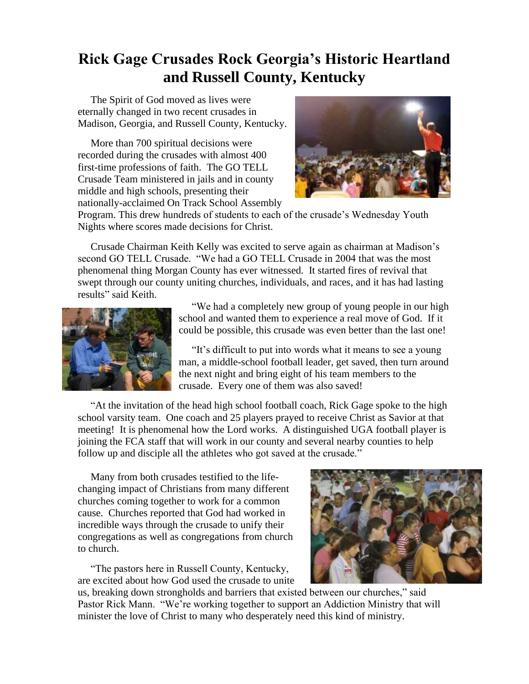## **Rick Gage Crusades Rock Georgia's Historic Heartland and Russell County, Kentucky**

 The Spirit of God moved as lives were eternally changed in two recent crusades in Madison, Georgia, and Russell County, Kentucky.

 More than 700 spiritual decisions were recorded during the crusades with almost 400 first-time professions of faith. The GO TELL Crusade Team ministered in jails and in county middle and high schools, presenting their nationally-acclaimed On Track School Assembly



Program. This drew hundreds of students to each of the crusade's Wednesday Youth Nights where scores made decisions for Christ.

 Crusade Chairman Keith Kelly was excited to serve again as chairman at Madison's second GO TELL Crusade. "We had a GO TELL Crusade in 2004 that was the most phenomenal thing Morgan County has ever witnessed. It started fires of revival that swept through our county uniting churches, individuals, and races, and it has had lasting results" said Keith.



 "We had a completely new group of young people in our high school and wanted them to experience a real move of God. If it could be possible, this crusade was even better than the last one!

 "It's difficult to put into words what it means to see a young man, a middle-school football leader, get saved, then turn around the next night and bring eight of his team members to the crusade. Every one of them was also saved!

 "At the invitation of the head high school football coach, Rick Gage spoke to the high school varsity team. One coach and 25 players prayed to receive Christ as Savior at that meeting! It is phenomenal how the Lord works. A distinguished UGA football player is joining the FCA staff that will work in our county and several nearby counties to help follow up and disciple all the athletes who got saved at the crusade."

 Many from both crusades testified to the lifechanging impact of Christians from many different churches coming together to work for a common cause. Churches reported that God had worked in incredible ways through the crusade to unify their congregations as well as congregations from church to church.

 "The pastors here in Russell County, Kentucky, are excited about how God used the crusade to unite



us, breaking down strongholds and barriers that existed between our churches," said Pastor Rick Mann. "We're working together to support an Addiction Ministry that will minister the love of Christ to many who desperately need this kind of ministry.